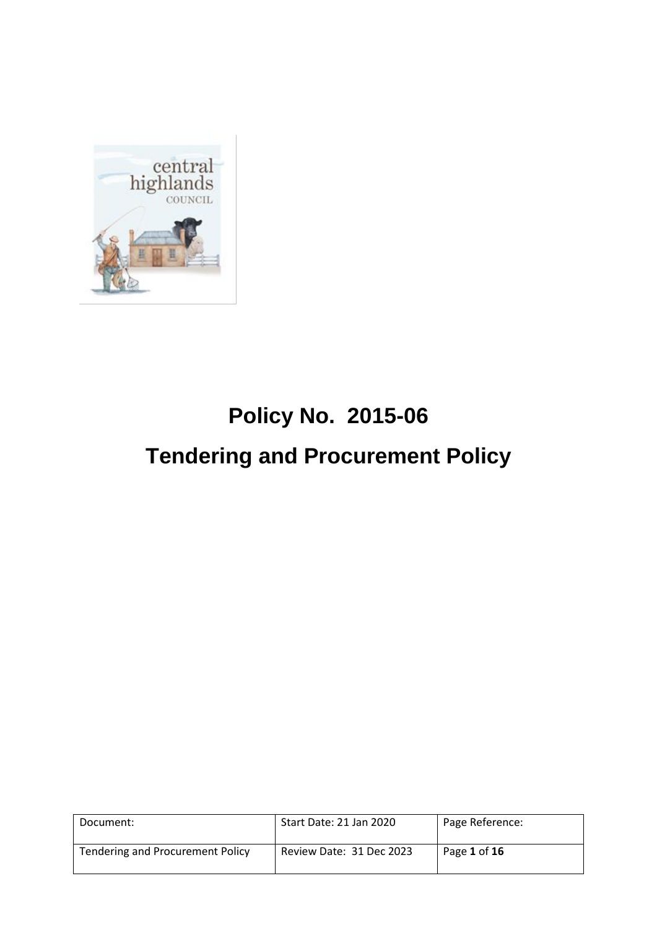

# **Policy No. 2015-06 Tendering and Procurement Policy**

| Document:                               | Start Date: 21 Jan 2020  | Page Reference: |
|-----------------------------------------|--------------------------|-----------------|
| <b>Tendering and Procurement Policy</b> | Review Date: 31 Dec 2023 | Page 1 of 16    |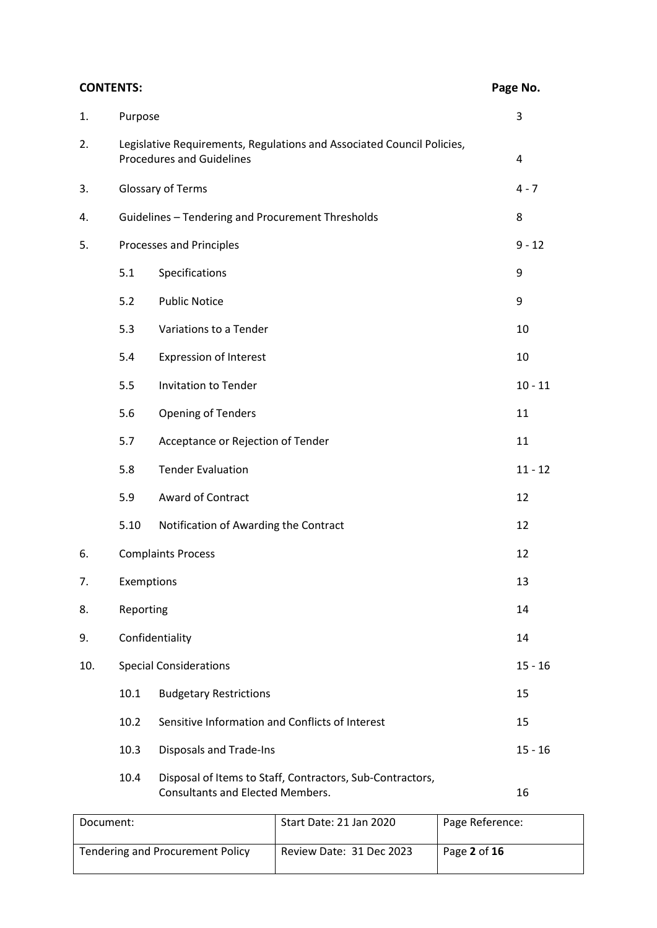| <b>CONTENTS:</b> |            |                                                                                                            | Page No.  |
|------------------|------------|------------------------------------------------------------------------------------------------------------|-----------|
| 1.               | Purpose    |                                                                                                            | 3         |
| 2.               |            | Legislative Requirements, Regulations and Associated Council Policies,<br><b>Procedures and Guidelines</b> | 4         |
| 3.               |            | Glossary of Terms                                                                                          | $4 - 7$   |
| 4.               |            | Guidelines - Tendering and Procurement Thresholds                                                          | 8         |
| 5.               |            | Processes and Principles                                                                                   | $9 - 12$  |
|                  | 5.1        | Specifications                                                                                             | 9         |
|                  | 5.2        | <b>Public Notice</b>                                                                                       | 9         |
|                  | 5.3        | Variations to a Tender                                                                                     | 10        |
|                  | 5.4        | <b>Expression of Interest</b>                                                                              | 10        |
|                  | 5.5        | Invitation to Tender                                                                                       | $10 - 11$ |
|                  | 5.6        | <b>Opening of Tenders</b>                                                                                  | 11        |
|                  | 5.7        | Acceptance or Rejection of Tender                                                                          | 11        |
|                  | 5.8        | <b>Tender Evaluation</b>                                                                                   | $11 - 12$ |
|                  | 5.9        | Award of Contract                                                                                          | 12        |
|                  | 5.10       | Notification of Awarding the Contract                                                                      | 12        |
| 6.               |            | <b>Complaints Process</b>                                                                                  | 12        |
| 7.               | Exemptions |                                                                                                            | 13        |
| 8.               | Reporting  |                                                                                                            | 14        |
| 9.               |            | Confidentiality                                                                                            | 14        |
| 10.              |            | <b>Special Considerations</b>                                                                              | $15 - 16$ |
|                  | 10.1       | <b>Budgetary Restrictions</b>                                                                              | 15        |
|                  | 10.2       | Sensitive Information and Conflicts of Interest                                                            | 15        |
|                  | 10.3       | Disposals and Trade-Ins                                                                                    | $15 - 16$ |
|                  | 10.4       | Disposal of Items to Staff, Contractors, Sub-Contractors,<br><b>Consultants and Elected Members.</b>       | 16        |

| Document:                               | Start Date: 21 Jan 2020  | Page Reference: |
|-----------------------------------------|--------------------------|-----------------|
| <b>Tendering and Procurement Policy</b> | Review Date: 31 Dec 2023 | Page 2 of 16    |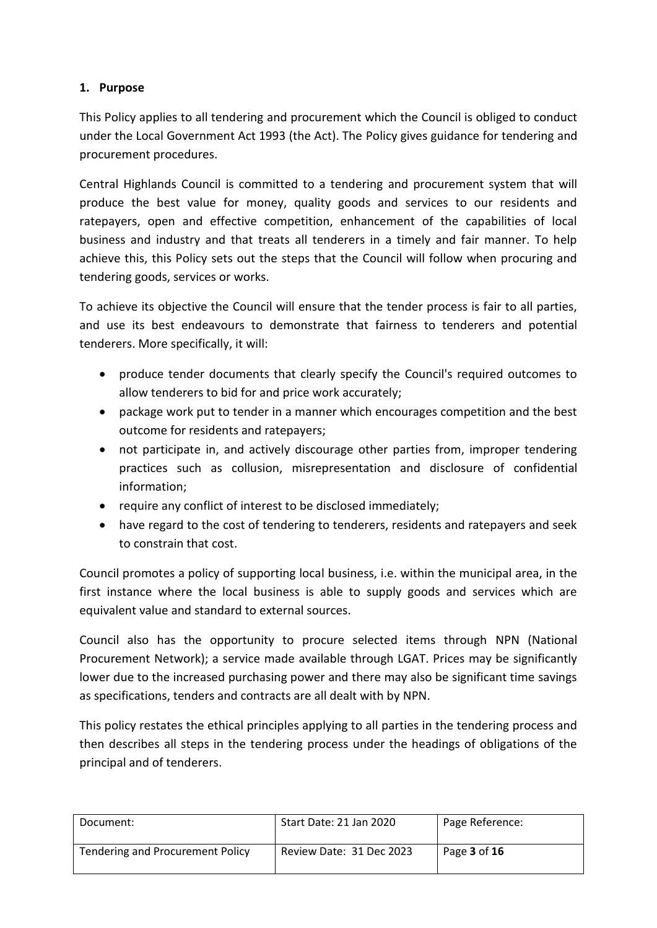## **1. Purpose**

This Policy applies to all tendering and procurement which the Council is obliged to conduct under the Local Government Act 1993 (the Act). The Policy gives guidance for tendering and procurement procedures.

Central Highlands Council is committed to a tendering and procurement system that will produce the best value for money, quality goods and services to our residents and ratepayers, open and effective competition, enhancement of the capabilities of local business and industry and that treats all tenderers in a timely and fair manner. To help achieve this, this Policy sets out the steps that the Council will follow when procuring and tendering goods, services or works.

To achieve its objective the Council will ensure that the tender process is fair to all parties, and use its best endeavours to demonstrate that fairness to tenderers and potential tenderers. More specifically, it will:

- produce tender documents that clearly specify the Council's required outcomes to allow tenderers to bid for and price work accurately;
- package work put to tender in a manner which encourages competition and the best outcome for residents and ratepayers;
- not participate in, and actively discourage other parties from, improper tendering practices such as collusion, misrepresentation and disclosure of confidential information;
- require any conflict of interest to be disclosed immediately;
- have regard to the cost of tendering to tenderers, residents and ratepayers and seek to constrain that cost.

Council promotes a policy of supporting local business, i.e. within the municipal area, in the first instance where the local business is able to supply goods and services which are equivalent value and standard to external sources.

Council also has the opportunity to procure selected items through NPN (National Procurement Network); a service made available through LGAT. Prices may be significantly lower due to the increased purchasing power and there may also be significant time savings as specifications, tenders and contracts are all dealt with by NPN.

This policy restates the ethical principles applying to all parties in the tendering process and then describes all steps in the tendering process under the headings of obligations of the principal and of tenderers.

| Document:                               | Start Date: 21 Jan 2020  | Page Reference: |
|-----------------------------------------|--------------------------|-----------------|
| <b>Tendering and Procurement Policy</b> | Review Date: 31 Dec 2023 | Page 3 of 16    |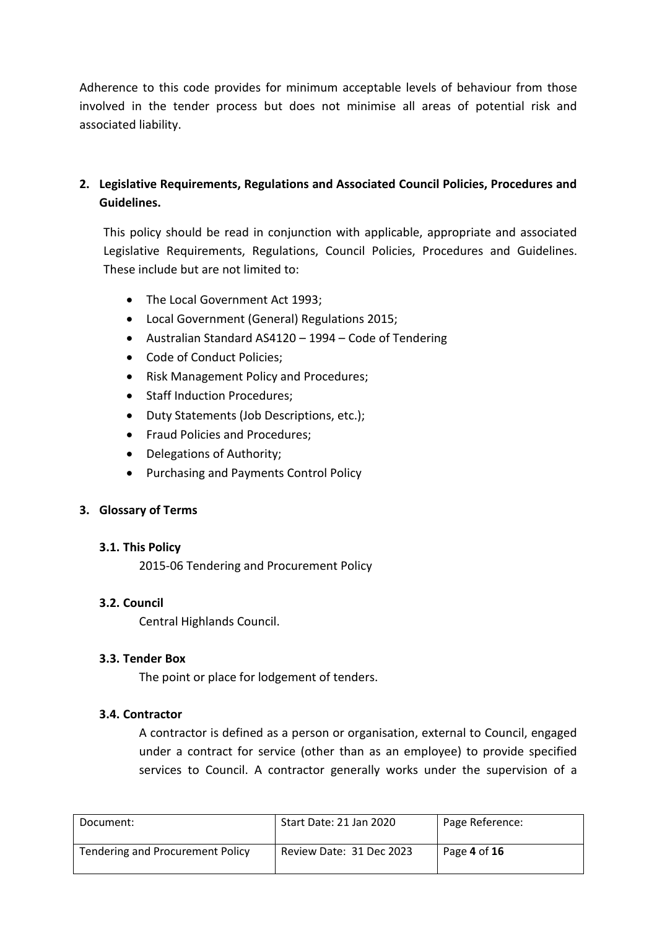Adherence to this code provides for minimum acceptable levels of behaviour from those involved in the tender process but does not minimise all areas of potential risk and associated liability.

# **2. Legislative Requirements, Regulations and Associated Council Policies, Procedures and Guidelines.**

This policy should be read in conjunction with applicable, appropriate and associated Legislative Requirements, Regulations, Council Policies, Procedures and Guidelines. These include but are not limited to:

- The Local Government Act 1993;
- Local Government (General) Regulations 2015;
- Australian Standard AS4120 1994 Code of Tendering
- Code of Conduct Policies;
- Risk Management Policy and Procedures;
- Staff Induction Procedures:
- Duty Statements (Job Descriptions, etc.);
- Fraud Policies and Procedures;
- Delegations of Authority;
- Purchasing and Payments Control Policy

## **3. Glossary of Terms**

## **3.1. This Policy**

2015-06 Tendering and Procurement Policy

## **3.2. Council**

Central Highlands Council.

## **3.3. Tender Box**

The point or place for lodgement of tenders.

## **3.4. Contractor**

A contractor is defined as a person or organisation, external to Council, engaged under a contract for service (other than as an employee) to provide specified services to Council. A contractor generally works under the supervision of a

| Document:                               | Start Date: 21 Jan 2020  | Page Reference: |
|-----------------------------------------|--------------------------|-----------------|
| <b>Tendering and Procurement Policy</b> | Review Date: 31 Dec 2023 | Page 4 of 16    |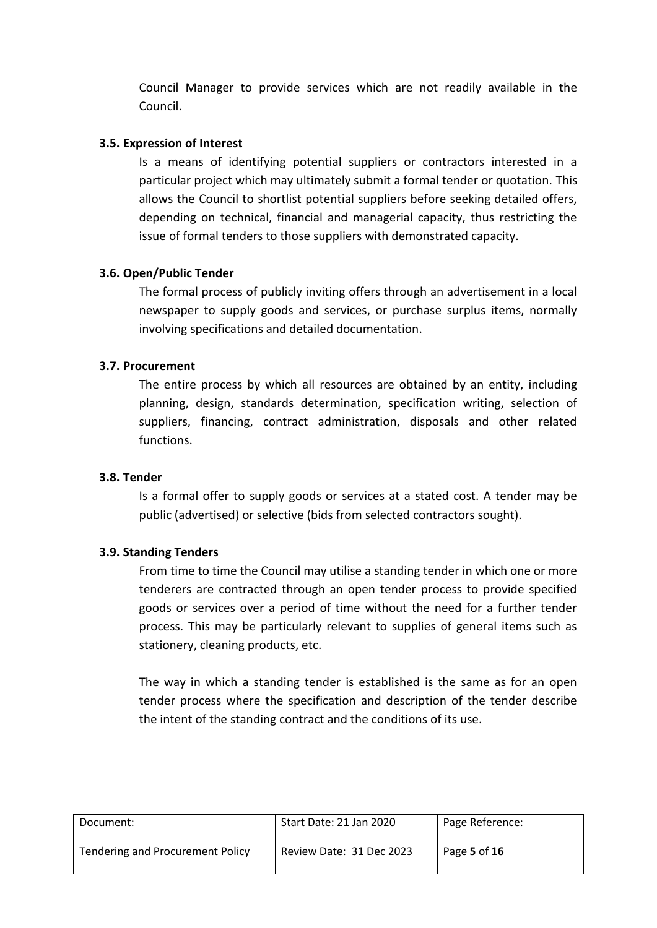Council Manager to provide services which are not readily available in the Council.

#### **3.5. Expression of Interest**

Is a means of identifying potential suppliers or contractors interested in a particular project which may ultimately submit a formal tender or quotation. This allows the Council to shortlist potential suppliers before seeking detailed offers, depending on technical, financial and managerial capacity, thus restricting the issue of formal tenders to those suppliers with demonstrated capacity.

#### **3.6. Open/Public Tender**

The formal process of publicly inviting offers through an advertisement in a local newspaper to supply goods and services, or purchase surplus items, normally involving specifications and detailed documentation.

#### **3.7. Procurement**

The entire process by which all resources are obtained by an entity, including planning, design, standards determination, specification writing, selection of suppliers, financing, contract administration, disposals and other related functions.

#### **3.8. Tender**

Is a formal offer to supply goods or services at a stated cost. A tender may be public (advertised) or selective (bids from selected contractors sought).

#### **3.9. Standing Tenders**

From time to time the Council may utilise a standing tender in which one or more tenderers are contracted through an open tender process to provide specified goods or services over a period of time without the need for a further tender process. This may be particularly relevant to supplies of general items such as stationery, cleaning products, etc.

The way in which a standing tender is established is the same as for an open tender process where the specification and description of the tender describe the intent of the standing contract and the conditions of its use.

| Document:                               | Start Date: 21 Jan 2020  | Page Reference: |
|-----------------------------------------|--------------------------|-----------------|
| <b>Tendering and Procurement Policy</b> | Review Date: 31 Dec 2023 | Page 5 of 16    |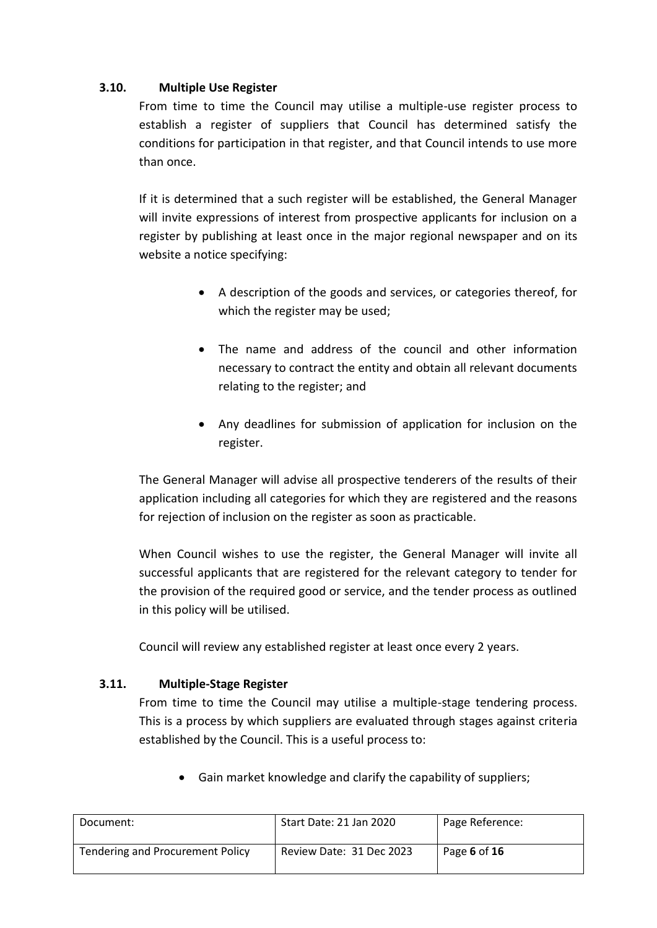## **3.10. Multiple Use Register**

From time to time the Council may utilise a multiple-use register process to establish a register of suppliers that Council has determined satisfy the conditions for participation in that register, and that Council intends to use more than once.

If it is determined that a such register will be established, the General Manager will invite expressions of interest from prospective applicants for inclusion on a register by publishing at least once in the major regional newspaper and on its website a notice specifying:

- A description of the goods and services, or categories thereof, for which the register may be used;
- The name and address of the council and other information necessary to contract the entity and obtain all relevant documents relating to the register; and
- Any deadlines for submission of application for inclusion on the register.

The General Manager will advise all prospective tenderers of the results of their application including all categories for which they are registered and the reasons for rejection of inclusion on the register as soon as practicable.

When Council wishes to use the register, the General Manager will invite all successful applicants that are registered for the relevant category to tender for the provision of the required good or service, and the tender process as outlined in this policy will be utilised.

Council will review any established register at least once every 2 years.

## **3.11. Multiple-Stage Register**

From time to time the Council may utilise a multiple-stage tendering process. This is a process by which suppliers are evaluated through stages against criteria established by the Council. This is a useful process to:

Gain market knowledge and clarify the capability of suppliers;

| Document:                        | Start Date: 21 Jan 2020  | Page Reference: |
|----------------------------------|--------------------------|-----------------|
| Tendering and Procurement Policy | Review Date: 31 Dec 2023 | Page 6 of $16$  |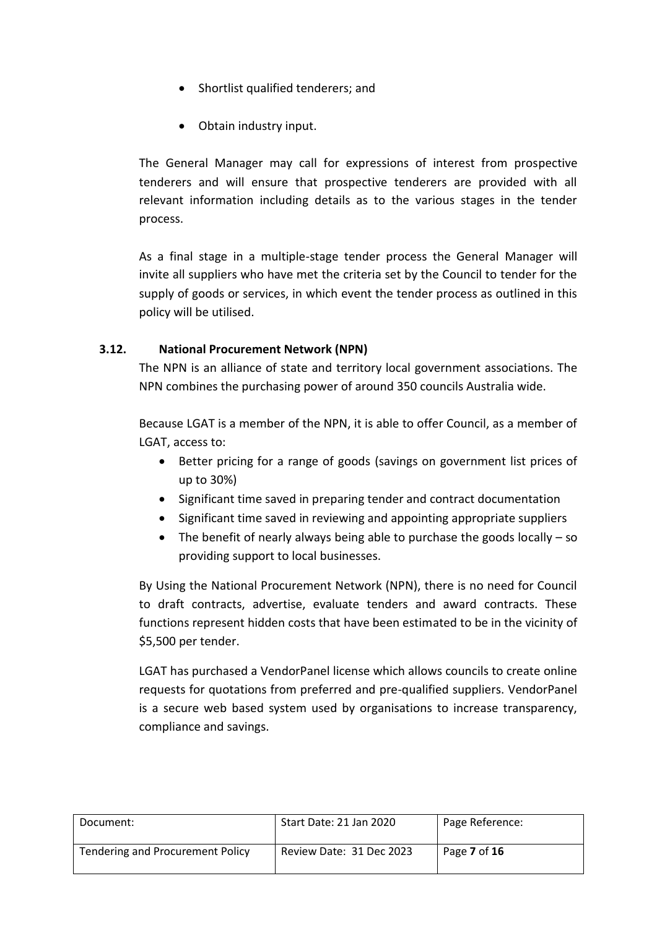- Shortlist qualified tenderers; and
- Obtain industry input.

The General Manager may call for expressions of interest from prospective tenderers and will ensure that prospective tenderers are provided with all relevant information including details as to the various stages in the tender process.

As a final stage in a multiple-stage tender process the General Manager will invite all suppliers who have met the criteria set by the Council to tender for the supply of goods or services, in which event the tender process as outlined in this policy will be utilised.

## **3.12. National Procurement Network (NPN)**

The NPN is an alliance of state and territory local government associations. The NPN combines the purchasing power of around 350 councils Australia wide.

Because LGAT is a member of the NPN, it is able to offer Council, as a member of LGAT, access to:

- Better pricing for a range of goods (savings on government list prices of up to 30%)
- Significant time saved in preparing tender and contract documentation
- Significant time saved in reviewing and appointing appropriate suppliers
- $\bullet$  The benefit of nearly always being able to purchase the goods locally so providing support to local businesses.

By Using the National Procurement Network (NPN), there is no need for Council to draft contracts, advertise, evaluate tenders and award contracts. These functions represent hidden costs that have been estimated to be in the vicinity of \$5,500 per tender.

LGAT has purchased a VendorPanel license which allows councils to create online requests for quotations from preferred and pre-qualified suppliers. VendorPanel is a secure web based system used by organisations to increase transparency, compliance and savings.

| Document:                               | Start Date: 21 Jan 2020  | Page Reference: |
|-----------------------------------------|--------------------------|-----------------|
| <b>Tendering and Procurement Policy</b> | Review Date: 31 Dec 2023 | Page 7 of 16    |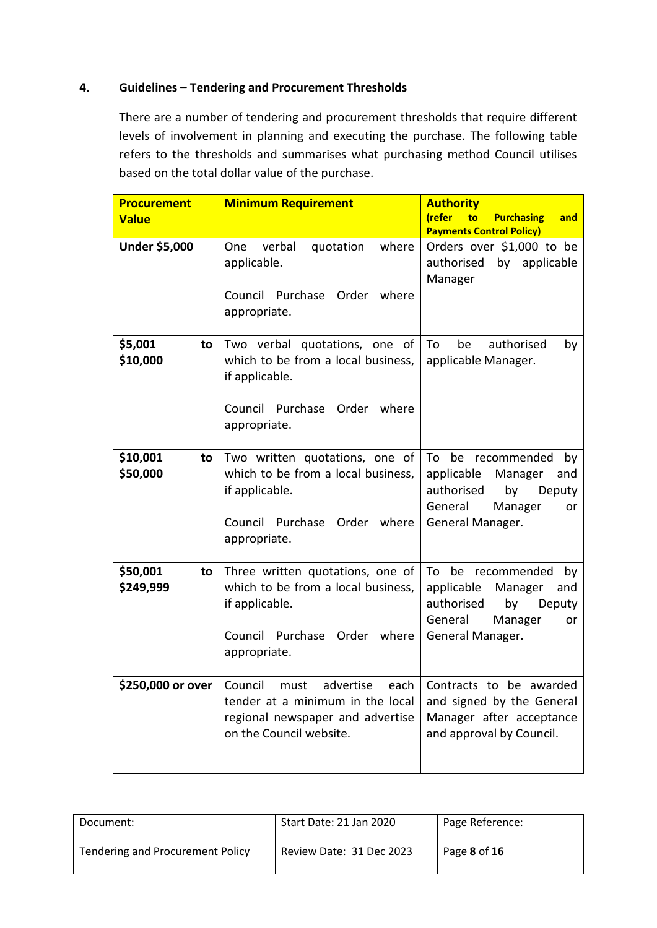## **4. Guidelines – Tendering and Procurement Thresholds**

There are a number of tendering and procurement thresholds that require different levels of involvement in planning and executing the purchase. The following table refers to the thresholds and summarises what purchasing method Council utilises based on the total dollar value of the purchase.

| <b>Procurement</b>           | <b>Minimum Requirement</b>                                                                                                                  | <b>Authority</b>                                                                                                                         |
|------------------------------|---------------------------------------------------------------------------------------------------------------------------------------------|------------------------------------------------------------------------------------------------------------------------------------------|
| <b>Value</b>                 |                                                                                                                                             | (refer<br><b>Purchasing</b><br>to<br>and<br><b>Payments Control Policy)</b>                                                              |
| Under \$5,000                | verbal<br>where<br>One<br>quotation<br>applicable.<br>Council Purchase Order<br>where<br>appropriate.                                       | Orders over \$1,000 to be<br>authorised<br>by applicable<br>Manager                                                                      |
| \$5,001<br>to<br>\$10,000    | Two verbal quotations, one of<br>which to be from a local business,<br>if applicable.<br>Council Purchase Order where<br>appropriate.       | authorised<br>be<br>To<br>by<br>applicable Manager.                                                                                      |
| \$10,001<br>to<br>\$50,000   | Two written quotations, one of<br>which to be from a local business,<br>if applicable.<br>Council Purchase Order where<br>appropriate.      | To be recommended<br>by<br>applicable<br>Manager<br>and<br>authorised<br>by<br>Deputy<br>General<br>Manager<br>or<br>General Manager.    |
| \$50,001<br>to<br>\$249,999  | Three written quotations, one of<br>which to be from a local business,<br>if applicable.<br>Council Purchase<br>Order where<br>appropriate. | be recommended<br>To<br>by<br>applicable<br>Manager<br>and<br>authorised<br>by<br>Deputy<br>General<br>Manager<br>or<br>General Manager. |
| $$250.000$ or over L Council | advertise<br>must<br>tender at a minimum in the local<br>regional newspaper and advertise<br>on the Council website.                        | each   Contracts to be awarded<br>and signed by the General<br>Manager after acceptance<br>and approval by Council.                      |

| Document:                               | Start Date: 21 Jan 2020  | Page Reference:            |
|-----------------------------------------|--------------------------|----------------------------|
| <b>Tendering and Procurement Policy</b> | Review Date: 31 Dec 2023 | Page <b>8</b> of <b>16</b> |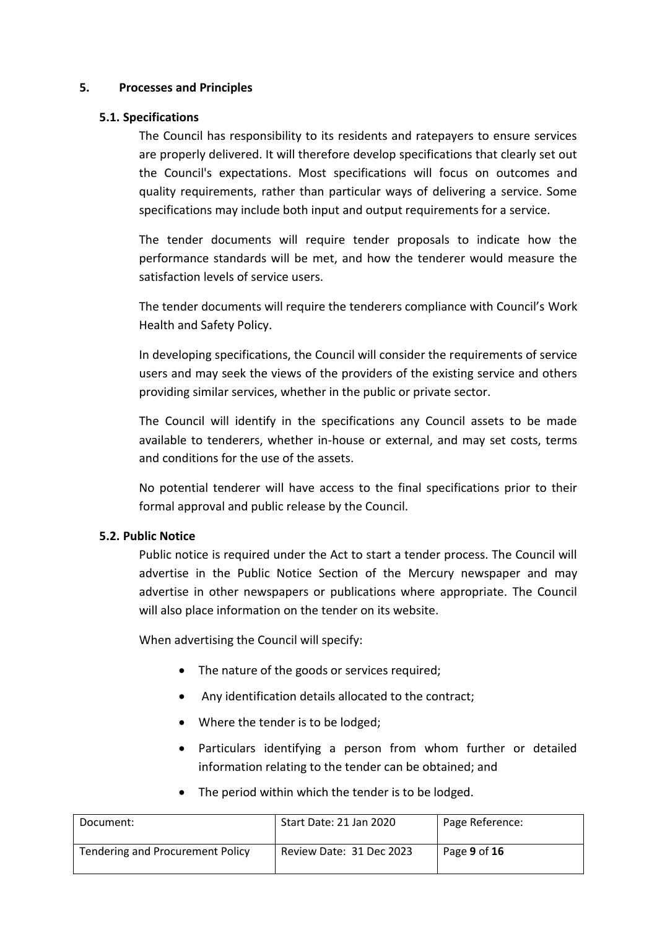#### **5. Processes and Principles**

#### **5.1. Specifications**

The Council has responsibility to its residents and ratepayers to ensure services are properly delivered. It will therefore develop specifications that clearly set out the Council's expectations. Most specifications will focus on outcomes and quality requirements, rather than particular ways of delivering a service. Some specifications may include both input and output requirements for a service.

The tender documents will require tender proposals to indicate how the performance standards will be met, and how the tenderer would measure the satisfaction levels of service users.

The tender documents will require the tenderers compliance with Council's Work Health and Safety Policy.

In developing specifications, the Council will consider the requirements of service users and may seek the views of the providers of the existing service and others providing similar services, whether in the public or private sector.

The Council will identify in the specifications any Council assets to be made available to tenderers, whether in-house or external, and may set costs, terms and conditions for the use of the assets.

No potential tenderer will have access to the final specifications prior to their formal approval and public release by the Council.

## **5.2. Public Notice**

Public notice is required under the Act to start a tender process. The Council will advertise in the Public Notice Section of the Mercury newspaper and may advertise in other newspapers or publications where appropriate. The Council will also place information on the tender on its website.

When advertising the Council will specify:

- The nature of the goods or services required:
- Any identification details allocated to the contract;
- Where the tender is to be lodged;
- Particulars identifying a person from whom further or detailed information relating to the tender can be obtained; and
- The period within which the tender is to be lodged.

| Document:                        | Start Date: 21 Jan 2020  | Page Reference: |
|----------------------------------|--------------------------|-----------------|
| Tendering and Procurement Policy | Review Date: 31 Dec 2023 | Page 9 of 16    |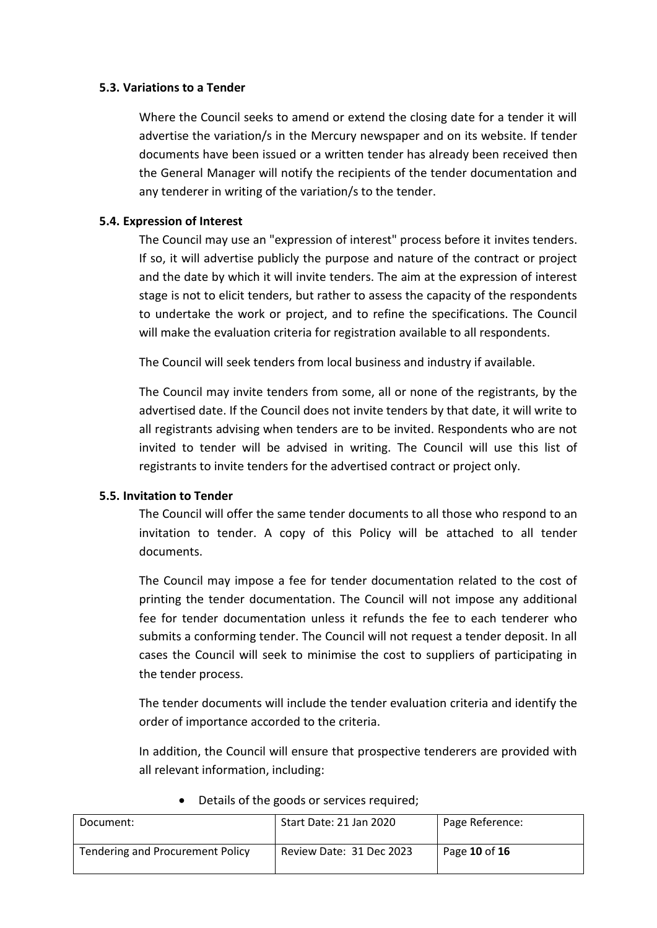#### **5.3. Variations to a Tender**

Where the Council seeks to amend or extend the closing date for a tender it will advertise the variation/s in the Mercury newspaper and on its website. If tender documents have been issued or a written tender has already been received then the General Manager will notify the recipients of the tender documentation and any tenderer in writing of the variation/s to the tender.

#### **5.4. Expression of Interest**

The Council may use an "expression of interest" process before it invites tenders. If so, it will advertise publicly the purpose and nature of the contract or project and the date by which it will invite tenders. The aim at the expression of interest stage is not to elicit tenders, but rather to assess the capacity of the respondents to undertake the work or project, and to refine the specifications. The Council will make the evaluation criteria for registration available to all respondents.

The Council will seek tenders from local business and industry if available.

The Council may invite tenders from some, all or none of the registrants, by the advertised date. If the Council does not invite tenders by that date, it will write to all registrants advising when tenders are to be invited. Respondents who are not invited to tender will be advised in writing. The Council will use this list of registrants to invite tenders for the advertised contract or project only.

#### **5.5. Invitation to Tender**

The Council will offer the same tender documents to all those who respond to an invitation to tender. A copy of this Policy will be attached to all tender documents.

The Council may impose a fee for tender documentation related to the cost of printing the tender documentation. The Council will not impose any additional fee for tender documentation unless it refunds the fee to each tenderer who submits a conforming tender. The Council will not request a tender deposit. In all cases the Council will seek to minimise the cost to suppliers of participating in the tender process.

The tender documents will include the tender evaluation criteria and identify the order of importance accorded to the criteria.

In addition, the Council will ensure that prospective tenderers are provided with all relevant information, including:

| Document:                        | Start Date: 21 Jan 2020  | Page Reference: |
|----------------------------------|--------------------------|-----------------|
| Tendering and Procurement Policy | Review Date: 31 Dec 2023 | Page 10 of 16   |

• Details of the goods or services required;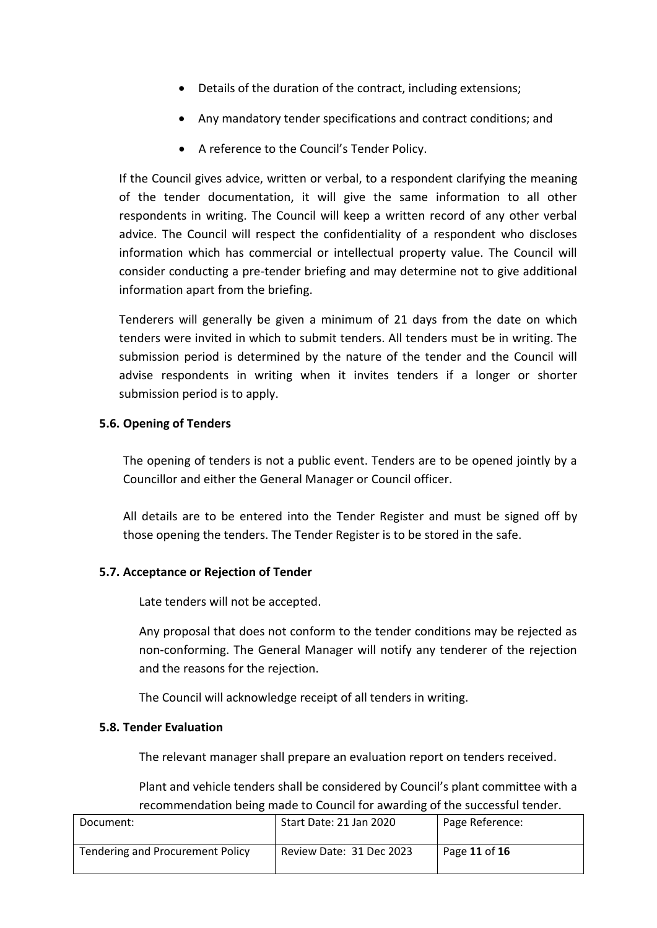- Details of the duration of the contract, including extensions;
- Any mandatory tender specifications and contract conditions; and
- A reference to the Council's Tender Policy.

If the Council gives advice, written or verbal, to a respondent clarifying the meaning of the tender documentation, it will give the same information to all other respondents in writing. The Council will keep a written record of any other verbal advice. The Council will respect the confidentiality of a respondent who discloses information which has commercial or intellectual property value. The Council will consider conducting a pre-tender briefing and may determine not to give additional information apart from the briefing.

Tenderers will generally be given a minimum of 21 days from the date on which tenders were invited in which to submit tenders. All tenders must be in writing. The submission period is determined by the nature of the tender and the Council will advise respondents in writing when it invites tenders if a longer or shorter submission period is to apply.

#### **5.6. Opening of Tenders**

The opening of tenders is not a public event. Tenders are to be opened jointly by a Councillor and either the General Manager or Council officer.

All details are to be entered into the Tender Register and must be signed off by those opening the tenders. The Tender Register is to be stored in the safe.

#### **5.7. Acceptance or Rejection of Tender**

Late tenders will not be accepted.

Any proposal that does not conform to the tender conditions may be rejected as non-conforming. The General Manager will notify any tenderer of the rejection and the reasons for the rejection.

The Council will acknowledge receipt of all tenders in writing.

#### **5.8. Tender Evaluation**

The relevant manager shall prepare an evaluation report on tenders received.

Plant and vehicle tenders shall be considered by Council's plant committee with a recommendation being made to Council for awarding of the successful tender.

| Document:                               | Start Date: 21 Jan 2020  | Page Reference: |
|-----------------------------------------|--------------------------|-----------------|
| <b>Tendering and Procurement Policy</b> | Review Date: 31 Dec 2023 | Page 11 of 16   |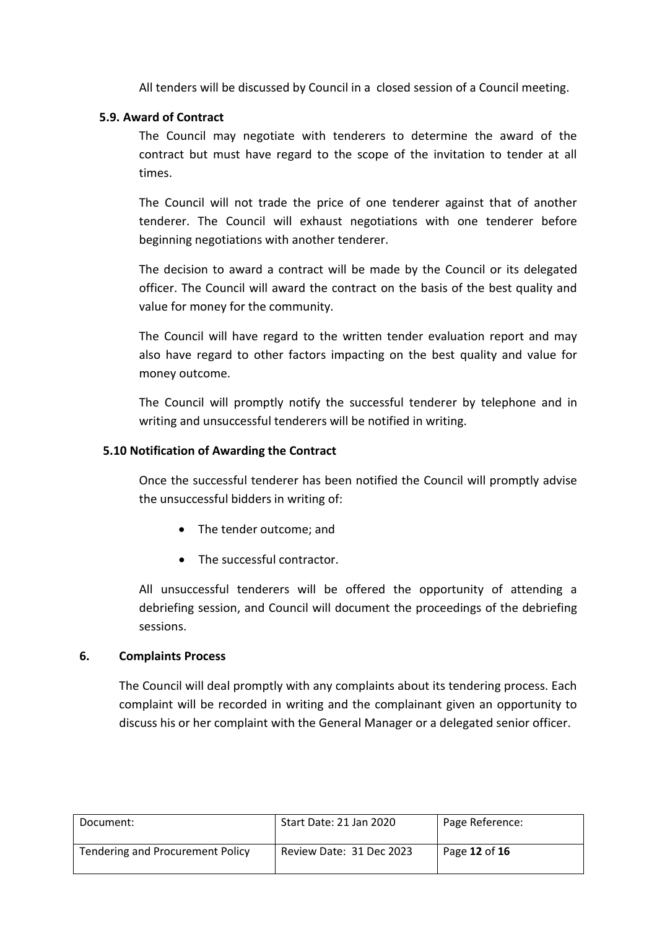All tenders will be discussed by Council in a closed session of a Council meeting.

#### **5.9. Award of Contract**

The Council may negotiate with tenderers to determine the award of the contract but must have regard to the scope of the invitation to tender at all times.

The Council will not trade the price of one tenderer against that of another tenderer. The Council will exhaust negotiations with one tenderer before beginning negotiations with another tenderer.

The decision to award a contract will be made by the Council or its delegated officer. The Council will award the contract on the basis of the best quality and value for money for the community.

The Council will have regard to the written tender evaluation report and may also have regard to other factors impacting on the best quality and value for money outcome.

The Council will promptly notify the successful tenderer by telephone and in writing and unsuccessful tenderers will be notified in writing.

#### **5.10 Notification of Awarding the Contract**

Once the successful tenderer has been notified the Council will promptly advise the unsuccessful bidders in writing of:

- The tender outcome; and
- The successful contractor.

All unsuccessful tenderers will be offered the opportunity of attending a debriefing session, and Council will document the proceedings of the debriefing sessions.

#### **6. Complaints Process**

The Council will deal promptly with any complaints about its tendering process. Each complaint will be recorded in writing and the complainant given an opportunity to discuss his or her complaint with the General Manager or a delegated senior officer.

| Document:                               | Start Date: 21 Jan 2020  | Page Reference: |
|-----------------------------------------|--------------------------|-----------------|
| <b>Tendering and Procurement Policy</b> | Review Date: 31 Dec 2023 | Page 12 of 16   |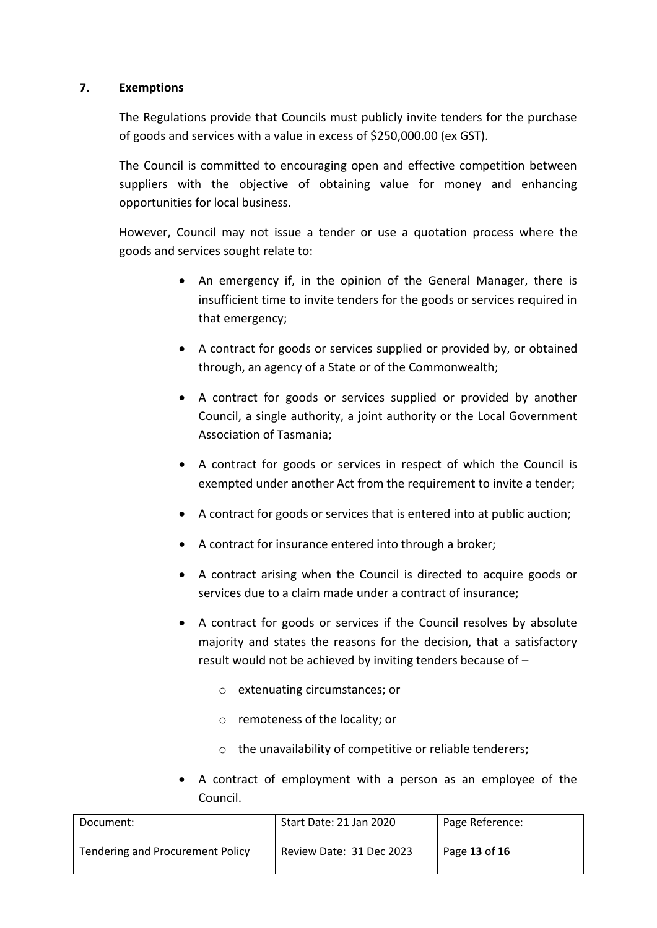## **7. Exemptions**

The Regulations provide that Councils must publicly invite tenders for the purchase of goods and services with a value in excess of \$250,000.00 (ex GST).

The Council is committed to encouraging open and effective competition between suppliers with the objective of obtaining value for money and enhancing opportunities for local business.

However, Council may not issue a tender or use a quotation process where the goods and services sought relate to:

- An emergency if, in the opinion of the General Manager, there is insufficient time to invite tenders for the goods or services required in that emergency;
- A contract for goods or services supplied or provided by, or obtained through, an agency of a State or of the Commonwealth;
- A contract for goods or services supplied or provided by another Council, a single authority, a joint authority or the Local Government Association of Tasmania;
- A contract for goods or services in respect of which the Council is exempted under another Act from the requirement to invite a tender;
- A contract for goods or services that is entered into at public auction;
- A contract for insurance entered into through a broker;
- A contract arising when the Council is directed to acquire goods or services due to a claim made under a contract of insurance;
- A contract for goods or services if the Council resolves by absolute majority and states the reasons for the decision, that a satisfactory result would not be achieved by inviting tenders because of –
	- o extenuating circumstances; or
	- o remoteness of the locality; or
	- o the unavailability of competitive or reliable tenderers;
- A contract of employment with a person as an employee of the Council.

| Document:                               | Start Date: 21 Jan 2020  | Page Reference: |
|-----------------------------------------|--------------------------|-----------------|
| <b>Tendering and Procurement Policy</b> | Review Date: 31 Dec 2023 | Page 13 of 16   |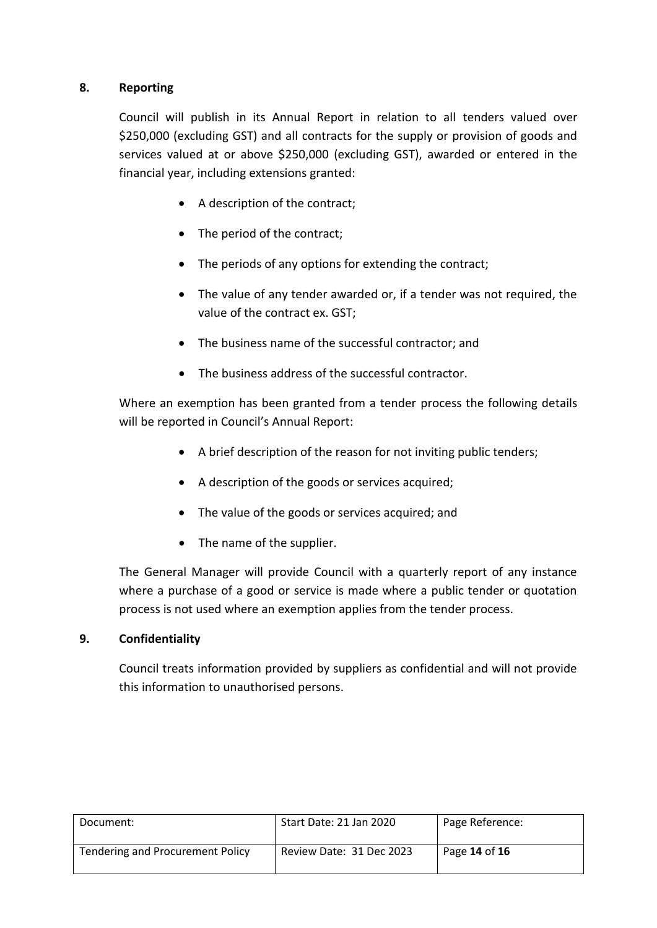## **8. Reporting**

Council will publish in its Annual Report in relation to all tenders valued over \$250,000 (excluding GST) and all contracts for the supply or provision of goods and services valued at or above \$250,000 (excluding GST), awarded or entered in the financial year, including extensions granted:

- A description of the contract;
- The period of the contract;
- The periods of any options for extending the contract;
- The value of any tender awarded or, if a tender was not required, the value of the contract ex. GST;
- The business name of the successful contractor; and
- The business address of the successful contractor.

Where an exemption has been granted from a tender process the following details will be reported in Council's Annual Report:

- A brief description of the reason for not inviting public tenders;
- A description of the goods or services acquired;
- The value of the goods or services acquired; and
- The name of the supplier.

The General Manager will provide Council with a quarterly report of any instance where a purchase of a good or service is made where a public tender or quotation process is not used where an exemption applies from the tender process.

#### **9. Confidentiality**

Council treats information provided by suppliers as confidential and will not provide this information to unauthorised persons.

| Document:                        | Start Date: 21 Jan 2020  | Page Reference: |
|----------------------------------|--------------------------|-----------------|
| Tendering and Procurement Policy | Review Date: 31 Dec 2023 | Page 14 of 16   |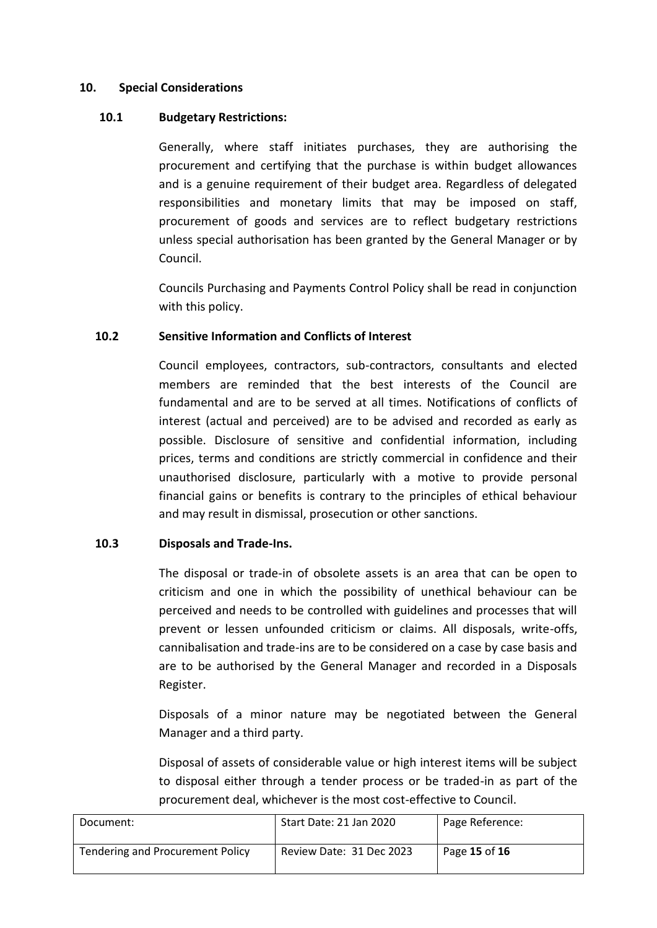#### **10. Special Considerations**

#### **10.1 Budgetary Restrictions:**

Generally, where staff initiates purchases, they are authorising the procurement and certifying that the purchase is within budget allowances and is a genuine requirement of their budget area. Regardless of delegated responsibilities and monetary limits that may be imposed on staff, procurement of goods and services are to reflect budgetary restrictions unless special authorisation has been granted by the General Manager or by Council.

Councils Purchasing and Payments Control Policy shall be read in conjunction with this policy.

#### **10.2 Sensitive Information and Conflicts of Interest**

Council employees, contractors, sub-contractors, consultants and elected members are reminded that the best interests of the Council are fundamental and are to be served at all times. Notifications of conflicts of interest (actual and perceived) are to be advised and recorded as early as possible. Disclosure of sensitive and confidential information, including prices, terms and conditions are strictly commercial in confidence and their unauthorised disclosure, particularly with a motive to provide personal financial gains or benefits is contrary to the principles of ethical behaviour and may result in dismissal, prosecution or other sanctions.

#### **10.3 Disposals and Trade-Ins.**

The disposal or trade-in of obsolete assets is an area that can be open to criticism and one in which the possibility of unethical behaviour can be perceived and needs to be controlled with guidelines and processes that will prevent or lessen unfounded criticism or claims. All disposals, write-offs, cannibalisation and trade-ins are to be considered on a case by case basis and are to be authorised by the General Manager and recorded in a Disposals Register.

Disposals of a minor nature may be negotiated between the General Manager and a third party.

Disposal of assets of considerable value or high interest items will be subject to disposal either through a tender process or be traded-in as part of the procurement deal, whichever is the most cost-effective to Council.

| Document:                        | Start Date: 21 Jan 2020  | Page Reference: |
|----------------------------------|--------------------------|-----------------|
| Tendering and Procurement Policy | Review Date: 31 Dec 2023 | Page 15 of 16   |